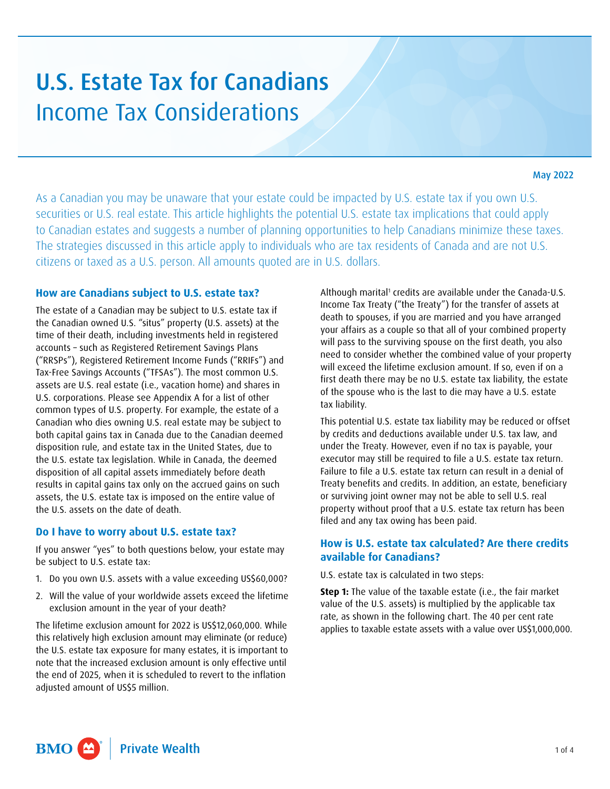# U.S. Estate Tax for Canadians Income Tax Considerations

#### May 2022

As a Canadian you may be unaware that your estate could be impacted by U.S. estate tax if you own U.S. securities or U.S. real estate. This article highlights the potential U.S. estate tax implications that could apply to Canadian estates and suggests a number of planning opportunities to help Canadians minimize these taxes. The strategies discussed in this article apply to individuals who are tax residents of Canada and are not U.S. citizens or taxed as a U.S. person. All amounts quoted are in U.S. dollars.

#### **How are Canadians subject to U.S. estate tax?**

The estate of a Canadian may be subject to U.S. estate tax if the Canadian owned U.S. "situs" property (U.S. assets) at the time of their death, including investments held in registered accounts – such as Registered Retirement Savings Plans ("RRSPs"), Registered Retirement Income Funds ("RRIFs") and Tax-Free Savings Accounts ("TFSAs"). The most common U.S. assets are U.S. real estate (i.e., vacation home) and shares in U.S. corporations. Please see Appendix A for a list of other common types of U.S. property. For example, the estate of a Canadian who dies owning U.S. real estate may be subject to both capital gains tax in Canada due to the Canadian deemed disposition rule, and estate tax in the United States, due to the U.S. estate tax legislation. While in Canada, the deemed disposition of all capital assets immediately before death results in capital gains tax only on the accrued gains on such assets, the U.S. estate tax is imposed on the entire value of the U.S. assets on the date of death.

#### **Do I have to worry about U.S. estate tax?**

If you answer "yes" to both questions below, your estate may be subject to U.S. estate tax:

- 1. Do you own U.S. assets with a value exceeding US\$60,000?
- 2. Will the value of your worldwide assets exceed the lifetime exclusion amount in the year of your death?

The lifetime exclusion amount for 2022 is US\$12,060,000. While this relatively high exclusion amount may eliminate (or reduce) the U.S. estate tax exposure for many estates, it is important to note that the increased exclusion amount is only effective until the end of 2025, when it is scheduled to revert to the inflation adjusted amount of US\$5 million.

Although marital<sup>[1](#page-3-0)</sup> credits are available under the Canada-U.S. Income Tax Treaty ("the Treaty") for the transfer of assets at death to spouses, if you are married and you have arranged your affairs as a couple so that all of your combined property will pass to the surviving spouse on the first death, you also need to consider whether the combined value of your property will exceed the lifetime exclusion amount. If so, even if on a first death there may be no U.S. estate tax liability, the estate of the spouse who is the last to die may have a U.S. estate tax liability.

This potential U.S. estate tax liability may be reduced or offset by credits and deductions available under U.S. tax law, and under the Treaty. However, even if no tax is payable, your executor may still be required to file a U.S. estate tax return. Failure to file a U.S. estate tax return can result in a denial of Treaty benefits and credits. In addition, an estate, beneficiary or surviving joint owner may not be able to sell U.S. real property without proof that a U.S. estate tax return has been filed and any tax owing has been paid.

# **How is U.S. estate tax calculated? Are there credits available for Canadians?**

U.S. estate tax is calculated in two steps:

**Step 1:** The value of the taxable estate (i.e., the fair market value of the U.S. assets) is multiplied by the applicable tax rate, as shown in the following chart. The 40 per cent rate applies to taxable estate assets with a value over US\$1,000,000.

**BMO Private Wealth**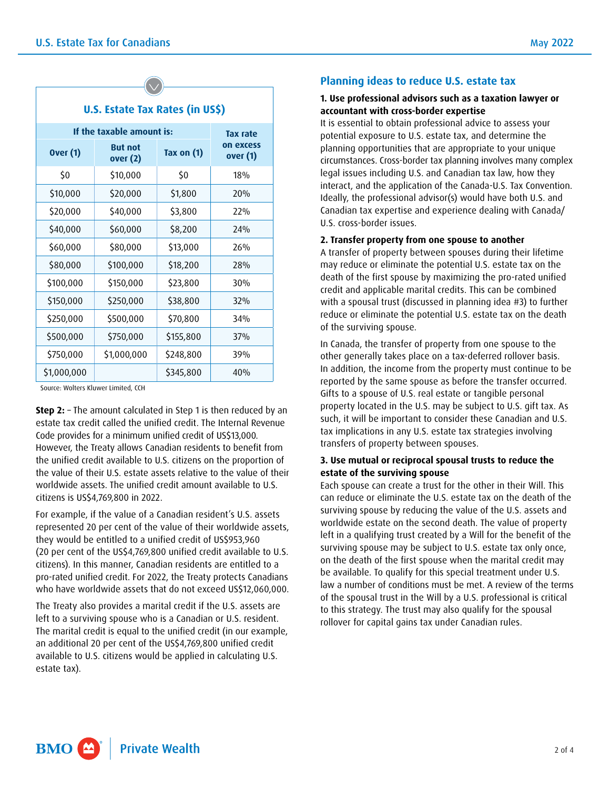| U.S. Estate Tax Rates (in US\$) |  |  |  |  |
|---------------------------------|--|--|--|--|

| If the taxable amount is: |                            |              | Tax rate              |
|---------------------------|----------------------------|--------------|-----------------------|
| <b>Over (1)</b>           | <b>But not</b><br>over (2) | Tax on $(1)$ | on excess<br>over (1) |
| \$0                       | \$10,000                   | \$0          | 18%                   |
| \$10,000                  | \$20,000                   | \$1,800      | 20%                   |
| \$20,000                  | \$40,000                   | \$3,800      | 22%                   |
| \$40,000                  | \$60,000                   | \$8,200      | 74%                   |
| \$60,000                  | \$80,000                   | \$13,000     | 26%                   |
| \$80,000                  | \$100,000                  | \$18,200     | 28%                   |
| \$100,000                 | \$150,000                  | \$23,800     | 30%                   |
| \$150,000                 | \$250,000                  | \$38,800     | 32%                   |
| \$250,000                 | \$500,000                  | \$70,800     | 34%                   |
| \$500,000                 | \$750,000                  | \$155,800    | 37%                   |
| \$750,000                 | \$1,000,000                | \$248,800    | 39%                   |
| \$1,000,000               |                            | \$345,800    | 40%                   |

Source: Wolters Kluwer Limited, CCH

**Step 2:** – The amount calculated in Step 1 is then reduced by an estate tax credit called the unified credit. The Internal Revenue Code provides for a minimum unified credit of US\$13,000. However, the Treaty allows Canadian residents to benefit from the unified credit available to U.S. citizens on the proportion of the value of their U.S. estate assets relative to the value of their worldwide assets. The unified credit amount available to U.S. citizens is US\$4,769,800 in 2022.

For example, if the value of a Canadian resident's U.S. assets represented 20 per cent of the value of their worldwide assets, they would be entitled to a unified credit of US\$953,960 (20 per cent of the US\$4,769,800 unified credit available to U.S. citizens). In this manner, Canadian residents are entitled to a pro-rated unified credit. For 2022, the Treaty protects Canadians who have worldwide assets that do not exceed US\$12,060,000.

The Treaty also provides a marital credit if the U.S. assets are left to a surviving spouse who is a Canadian or U.S. resident. The marital credit is equal to the unified credit (in our example, an additional 20 per cent of the US\$4,769,800 unified credit available to U.S. citizens would be applied in calculating U.S. estate tax).

## **Planning ideas to reduce U.S. estate tax**

#### **1. Use professional advisors such as a taxation lawyer or accountant with cross-border expertise**

It is essential to obtain professional advice to assess your potential exposure to U.S. estate tax, and determine the planning opportunities that are appropriate to your unique circumstances. Cross-border tax planning involves many complex legal issues including U.S. and Canadian tax law, how they interact, and the application of the Canada-U.S. Tax Convention. Ideally, the professional advisor(s) would have both U.S. and Canadian tax expertise and experience dealing with Canada/ U.S. cross-border issues.

#### **2. Transfer property from one spouse to another**

A transfer of property between spouses during their lifetime may reduce or eliminate the potential U.S. estate tax on the death of the first spouse by maximizing the pro-rated unified credit and applicable marital credits. This can be combined with a spousal trust (discussed in planning idea #3) to further reduce or eliminate the potential U.S. estate tax on the death of the surviving spouse.

In Canada, the transfer of property from one spouse to the other generally takes place on a tax-deferred rollover basis. In addition, the income from the property must continue to be reported by the same spouse as before the transfer occurred. Gifts to a spouse of U.S. real estate or tangible personal property located in the U.S. may be subject to U.S. gift tax. As such, it will be important to consider these Canadian and U.S. tax implications in any U.S. estate tax strategies involving transfers of property between spouses.

#### **3. Use mutual or reciprocal spousal trusts to reduce the estate of the surviving spouse**

Each spouse can create a trust for the other in their Will. This can reduce or eliminate the U.S. estate tax on the death of the surviving spouse by reducing the value of the U.S. assets and worldwide estate on the second death. The value of property left in a qualifying trust created by a Will for the benefit of the surviving spouse may be subject to U.S. estate tax only once, on the death of the first spouse when the marital credit may be available. To qualify for this special treatment under U.S. law a number of conditions must be met. A review of the terms of the spousal trust in the Will by a U.S. professional is critical to this strategy. The trust may also qualify for the spousal rollover for capital gains tax under Canadian rules.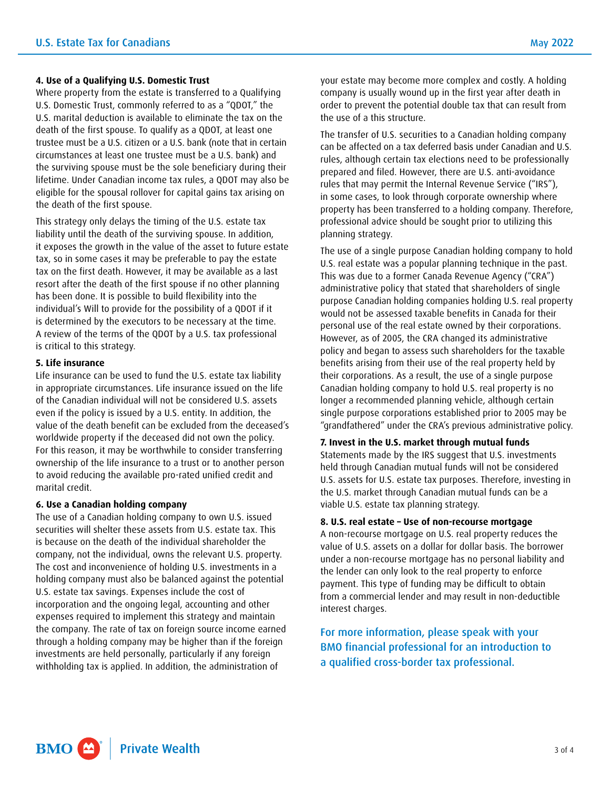#### **4. Use of a Qualifying U.S. Domestic Trust**

Where property from the estate is transferred to a Qualifying U.S. Domestic Trust, commonly referred to as a "QDOT," the U.S. marital deduction is available to eliminate the tax on the death of the first spouse. To qualify as a QDOT, at least one trustee must be a U.S. citizen or a U.S. bank (note that in certain circumstances at least one trustee must be a U.S. bank) and the surviving spouse must be the sole beneficiary during their lifetime. Under Canadian income tax rules, a QDOT may also be eligible for the spousal rollover for capital gains tax arising on the death of the first spouse.

This strategy only delays the timing of the U.S. estate tax liability until the death of the surviving spouse. In addition, it exposes the growth in the value of the asset to future estate tax, so in some cases it may be preferable to pay the estate tax on the first death. However, it may be available as a last resort after the death of the first spouse if no other planning has been done. It is possible to build flexibility into the individual's Will to provide for the possibility of a QDOT if it is determined by the executors to be necessary at the time. A review of the terms of the QDOT by a U.S. tax professional is critical to this strategy.

#### **5. Life insurance**

Life insurance can be used to fund the U.S. estate tax liability in appropriate circumstances. Life insurance issued on the life of the Canadian individual will not be considered U.S. assets even if the policy is issued by a U.S. entity. In addition, the value of the death benefit can be excluded from the deceased's worldwide property if the deceased did not own the policy. For this reason, it may be worthwhile to consider transferring ownership of the life insurance to a trust or to another person to avoid reducing the available pro-rated unified credit and marital credit.

#### **6. Use a Canadian holding company**

The use of a Canadian holding company to own U.S. issued securities will shelter these assets from U.S. estate tax. This is because on the death of the individual shareholder the company, not the individual, owns the relevant U.S. property. The cost and inconvenience of holding U.S. investments in a holding company must also be balanced against the potential U.S. estate tax savings. Expenses include the cost of incorporation and the ongoing legal, accounting and other expenses required to implement this strategy and maintain the company. The rate of tax on foreign source income earned through a holding company may be higher than if the foreign investments are held personally, particularly if any foreign withholding tax is applied. In addition, the administration of

your estate may become more complex and costly. A holding company is usually wound up in the first year after death in order to prevent the potential double tax that can result from the use of a this structure.

The transfer of U.S. securities to a Canadian holding company can be affected on a tax deferred basis under Canadian and U.S. rules, although certain tax elections need to be professionally prepared and filed. However, there are U.S. anti-avoidance rules that may permit the Internal Revenue Service ("IRS"), in some cases, to look through corporate ownership where property has been transferred to a holding company. Therefore, professional advice should be sought prior to utilizing this planning strategy.

The use of a single purpose Canadian holding company to hold U.S. real estate was a popular planning technique in the past. This was due to a former Canada Revenue Agency ("CRA") administrative policy that stated that shareholders of single purpose Canadian holding companies holding U.S. real property would not be assessed taxable benefits in Canada for their personal use of the real estate owned by their corporations. However, as of 2005, the CRA changed its administrative policy and began to assess such shareholders for the taxable benefits arising from their use of the real property held by their corporations. As a result, the use of a single purpose Canadian holding company to hold U.S. real property is no longer a recommended planning vehicle, although certain single purpose corporations established prior to 2005 may be "grandfathered" under the CRA's previous administrative policy.

#### **7. Invest in the U.S. market through mutual funds**

Statements made by the IRS suggest that U.S. investments held through Canadian mutual funds will not be considered U.S. assets for U.S. estate tax purposes. Therefore, investing in the U.S. market through Canadian mutual funds can be a viable U.S. estate tax planning strategy.

### **8. U.S. real estate – Use of non-recourse mortgage**

A non-recourse mortgage on U.S. real property reduces the value of U.S. assets on a dollar for dollar basis. The borrower under a non-recourse mortgage has no personal liability and the lender can only look to the real property to enforce payment. This type of funding may be difficult to obtain from a commercial lender and may result in non-deductible interest charges.

For more information, please speak with your BMO financial professional for an introduction to a qualified cross-border tax professional.